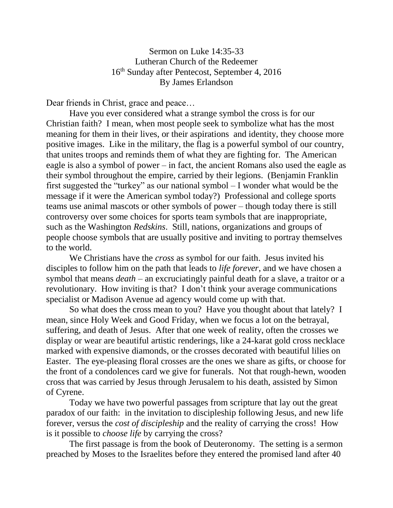Sermon on Luke 14:35-33 Lutheran Church of the Redeemer 16th Sunday after Pentecost, September 4, 2016 By James Erlandson

Dear friends in Christ, grace and peace…

Have you ever considered what a strange symbol the cross is for our Christian faith? I mean, when most people seek to symbolize what has the most meaning for them in their lives, or their aspirations and identity, they choose more positive images. Like in the military, the flag is a powerful symbol of our country, that unites troops and reminds them of what they are fighting for. The American eagle is also a symbol of power – in fact, the ancient Romans also used the eagle as their symbol throughout the empire, carried by their legions. (Benjamin Franklin first suggested the "turkey" as our national symbol – I wonder what would be the message if it were the American symbol today?) Professional and college sports teams use animal mascots or other symbols of power – though today there is still controversy over some choices for sports team symbols that are inappropriate, such as the Washington *Redskins*. Still, nations, organizations and groups of people choose symbols that are usually positive and inviting to portray themselves to the world.

We Christians have the *cross* as symbol for our faith. Jesus invited his disciples to follow him on the path that leads to *life forever*, and we have chosen a symbol that means *death* – an excruciatingly painful death for a slave, a traitor or a revolutionary. How inviting is that? I don't think your average communications specialist or Madison Avenue ad agency would come up with that.

So what does the cross mean to you? Have you thought about that lately? I mean, since Holy Week and Good Friday, when we focus a lot on the betrayal, suffering, and death of Jesus. After that one week of reality, often the crosses we display or wear are beautiful artistic renderings, like a 24-karat gold cross necklace marked with expensive diamonds, or the crosses decorated with beautiful lilies on Easter. The eye-pleasing floral crosses are the ones we share as gifts, or choose for the front of a condolences card we give for funerals. Not that rough-hewn, wooden cross that was carried by Jesus through Jerusalem to his death, assisted by Simon of Cyrene.

Today we have two powerful passages from scripture that lay out the great paradox of our faith: in the invitation to discipleship following Jesus, and new life forever, versus the *cost of discipleship* and the reality of carrying the cross! How is it possible to *choose life* by carrying the cross?

The first passage is from the book of Deuteronomy. The setting is a sermon preached by Moses to the Israelites before they entered the promised land after 40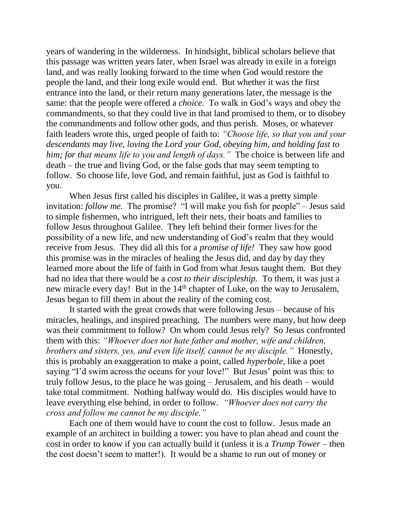years of wandering in the wilderness. In hindsight, biblical scholars believe that this passage was written years later, when Israel was already in exile in a foreign land, and was really looking forward to the time when God would restore the people the land, and their long exile would end. But whether it was the first entrance into the land, or their return many generations later, the message is the same: that the people were offered a *choice*. To walk in God's ways and obey the commandments, so that they could live in that land promised to them, or to disobey the commandments and follow other gods, and thus perish. Moses, or whatever faith leaders wrote this, urged people of faith to: *"Choose life, so that you and your descendants may live, loving the Lord your God, obeying him, and holding fast to him; for that means life to you and length of days."* The choice is between life and death – the true and living God, or the false gods that may seem tempting to follow. So choose life, love God, and remain faithful, just as God is faithful to you.

When Jesus first called his disciples in Galilee, it was a pretty simple invitation: *follow me.* The promise? "I will make you fish for people" – Jesus said to simple fishermen, who intrigued, left their nets, their boats and families to follow Jesus throughout Galilee. They left behind their former lives for the possibility of a new life, and new understanding of God's realm that they would receive from Jesus. They did all this for a *promise of life!* They saw how good this promise was in the miracles of healing the Jesus did, and day by day they learned more about the life of faith in God from what Jesus taught them. But they had no idea that there would be a *cost to their discipleship.* To them, it was just a new miracle every day! But in the 14<sup>th</sup> chapter of Luke, on the way to Jerusalem, Jesus began to fill them in about the reality of the coming cost.

It started with the great crowds that were following Jesus – because of his miracles, healings, and inspired preaching. The numbers were many, but how deep was their commitment to follow? On whom could Jesus rely? So Jesus confronted them with this: *"Whoever does not hate father and mother, wife and children, brothers and sisters, yes, and even life itself, cannot be my disciple."* Honestly, this is probably an exaggeration to make a point, called *hyperbole*, like a poet saying "I'd swim across the oceans for your love!" But Jesus' point was this: to truly follow Jesus, to the place he was going – Jerusalem, and his death – would take total commitment. Nothing halfway would do. His disciples would have to leave everything else behind, in order to follow. *"Whoever does not carry the cross and follow me cannot be my disciple."*

Each one of them would have to count the cost to follow. Jesus made an example of an architect in building a tower: you have to plan ahead and count the cost in order to know if you can actually build it (unless it is a *Trump Tower –* then the cost doesn't seem to matter!). It would be a shame to run out of money or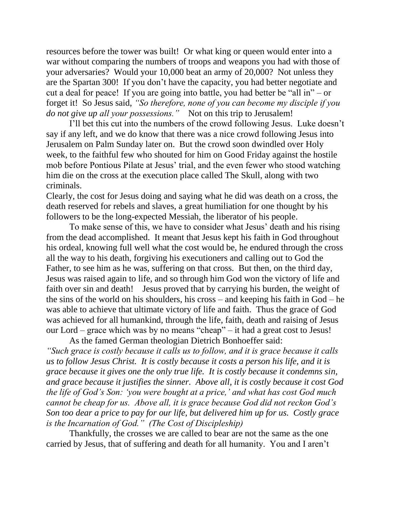resources before the tower was built! Or what king or queen would enter into a war without comparing the numbers of troops and weapons you had with those of your adversaries? Would your 10,000 beat an army of 20,000? Not unless they are the Spartan 300! If you don't have the capacity, you had better negotiate and cut a deal for peace! If you are going into battle, you had better be "all in" – or forget it! So Jesus said, *"So therefore, none of you can become my disciple if you do not give up all your possessions."* Not on this trip to Jerusalem!

I'll bet this cut into the numbers of the crowd following Jesus. Luke doesn't say if any left, and we do know that there was a nice crowd following Jesus into Jerusalem on Palm Sunday later on. But the crowd soon dwindled over Holy week, to the faithful few who shouted for him on Good Friday against the hostile mob before Pontious Pilate at Jesus' trial, and the even fewer who stood watching him die on the cross at the execution place called The Skull, along with two criminals.

Clearly, the cost for Jesus doing and saying what he did was death on a cross, the death reserved for rebels and slaves, a great humiliation for one thought by his followers to be the long-expected Messiah, the liberator of his people.

To make sense of this, we have to consider what Jesus' death and his rising from the dead accomplished. It meant that Jesus kept his faith in God throughout his ordeal, knowing full well what the cost would be, he endured through the cross all the way to his death, forgiving his executioners and calling out to God the Father, to see him as he was, suffering on that cross. But then, on the third day, Jesus was raised again to life, and so through him God won the victory of life and faith over sin and death! Jesus proved that by carrying his burden, the weight of the sins of the world on his shoulders, his cross – and keeping his faith in God – he was able to achieve that ultimate victory of life and faith. Thus the grace of God was achieved for all humankind, through the life, faith, death and raising of Jesus our Lord – grace which was by no means "cheap" – it had a great cost to Jesus! As the famed German theologian Dietrich Bonhoeffer said:

*"Such grace is costly because it calls us to follow, and it is grace because it calls us to follow Jesus Christ. It is costly because it costs a person his life, and it is grace because it gives one the only true life. It is costly because it condemns sin, and grace because it justifies the sinner. Above all, it is costly because it cost God the life of God's Son: 'you were bought at a price,' and what has cost God much cannot be cheap for us. Above all, it is grace because God did not reckon God's Son too dear a price to pay for our life, but delivered him up for us. Costly grace is the Incarnation of God." (The Cost of Discipleship)*

Thankfully, the crosses we are called to bear are not the same as the one carried by Jesus, that of suffering and death for all humanity. You and I aren't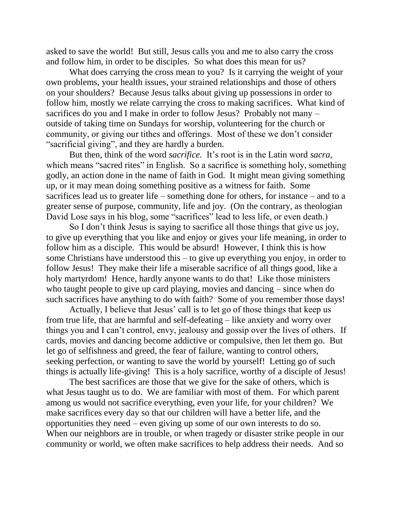asked to save the world! But still, Jesus calls you and me to also carry the cross and follow him, in order to be disciples. So what does this mean for us?

What does carrying the cross mean to you? Is it carrying the weight of your own problems, your health issues, your strained relationships and those of others on your shoulders? Because Jesus talks about giving up possessions in order to follow him, mostly we relate carrying the cross to making sacrifices. What kind of sacrifices do you and I make in order to follow Jesus? Probably not many – outside of taking time on Sundays for worship, volunteering for the church or community, or giving our tithes and offerings. Most of these we don't consider "sacrificial giving", and they are hardly a burden.

But then, think of the word *sacrifice.* It's root is in the Latin word *sacra,* which means "sacred rites" in English. So a sacrifice is something holy, something godly, an action done in the name of faith in God. It might mean giving something up, or it may mean doing something positive as a witness for faith. Some sacrifices lead us to greater life – something done for others, for instance – and to a greater sense of purpose, community, life and joy. (On the contrary, as theologian David Lose says in his blog, some "sacrifices" lead to less life, or even death.)

So I don't think Jesus is saying to sacrifice all those things that give us joy, to give up everything that you like and enjoy or gives your life meaning, in order to follow him as a disciple. This would be absurd! However, I think this is how some Christians have understood this – to give up everything you enjoy, in order to follow Jesus! They make their life a miserable sacrifice of all things good, like a holy martyrdom! Hence, hardly anyone wants to do that! Like those ministers who taught people to give up card playing, movies and dancing – since when do such sacrifices have anything to do with faith? Some of you remember those days!

Actually, I believe that Jesus' call is to let go of those things that keep us from true life, that are harmful and self-defeating – like anxiety and worry over things you and I can't control, envy, jealousy and gossip over the lives of others. If cards, movies and dancing become addictive or compulsive, then let them go. But let go of selfishness and greed, the fear of failure, wanting to control others, seeking perfection, or wanting to save the world by yourself! Letting go of such things is actually life-giving! This is a holy sacrifice, worthy of a disciple of Jesus!

The best sacrifices are those that we give for the sake of others, which is what Jesus taught us to do. We are familiar with most of them. For which parent among us would not sacrifice everything, even your life, for your children? We make sacrifices every day so that our children will have a better life, and the opportunities they need – even giving up some of our own interests to do so. When our neighbors are in trouble, or when tragedy or disaster strike people in our community or world, we often make sacrifices to help address their needs. And so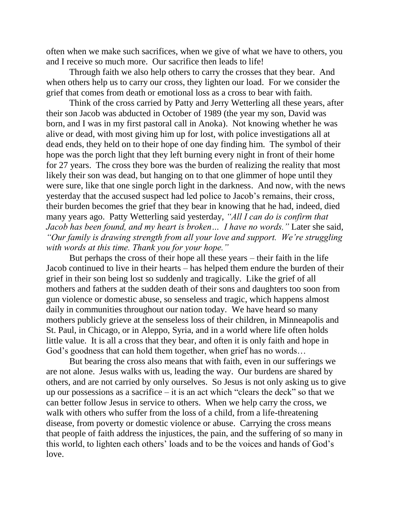often when we make such sacrifices, when we give of what we have to others, you and I receive so much more. Our sacrifice then leads to life!

Through faith we also help others to carry the crosses that they bear. And when others help us to carry our cross, they lighten our load. For we consider the grief that comes from death or emotional loss as a cross to bear with faith.

Think of the cross carried by Patty and Jerry Wetterling all these years, after their son Jacob was abducted in October of 1989 (the year my son, David was born, and I was in my first pastoral call in Anoka). Not knowing whether he was alive or dead, with most giving him up for lost, with police investigations all at dead ends, they held on to their hope of one day finding him. The symbol of their hope was the porch light that they left burning every night in front of their home for 27 years. The cross they bore was the burden of realizing the reality that most likely their son was dead, but hanging on to that one glimmer of hope until they were sure, like that one single porch light in the darkness. And now, with the news yesterday that the accused suspect had led police to Jacob's remains, their cross, their burden becomes the grief that they bear in knowing that he had, indeed, died many years ago. Patty Wetterling said yesterday, *"All I can do is confirm that Jacob has been found, and my heart is broken… I have no words."* Later she said, *"Our family is drawing strength from all your love and support. We're struggling with words at this time. Thank you for your hope."* 

But perhaps the cross of their hope all these years – their faith in the life Jacob continued to live in their hearts – has helped them endure the burden of their grief in their son being lost so suddenly and tragically. Like the grief of all mothers and fathers at the sudden death of their sons and daughters too soon from gun violence or domestic abuse, so senseless and tragic, which happens almost daily in communities throughout our nation today. We have heard so many mothers publicly grieve at the senseless loss of their children, in Minneapolis and St. Paul, in Chicago, or in Aleppo, Syria, and in a world where life often holds little value. It is all a cross that they bear, and often it is only faith and hope in God's goodness that can hold them together, when grief has no words…

But bearing the cross also means that with faith, even in our sufferings we are not alone. Jesus walks with us, leading the way. Our burdens are shared by others, and are not carried by only ourselves. So Jesus is not only asking us to give up our possessions as a sacrifice  $-$  it is an act which "clears the deck" so that we can better follow Jesus in service to others. When we help carry the cross, we walk with others who suffer from the loss of a child, from a life-threatening disease, from poverty or domestic violence or abuse. Carrying the cross means that people of faith address the injustices, the pain, and the suffering of so many in this world, to lighten each others' loads and to be the voices and hands of God's love.